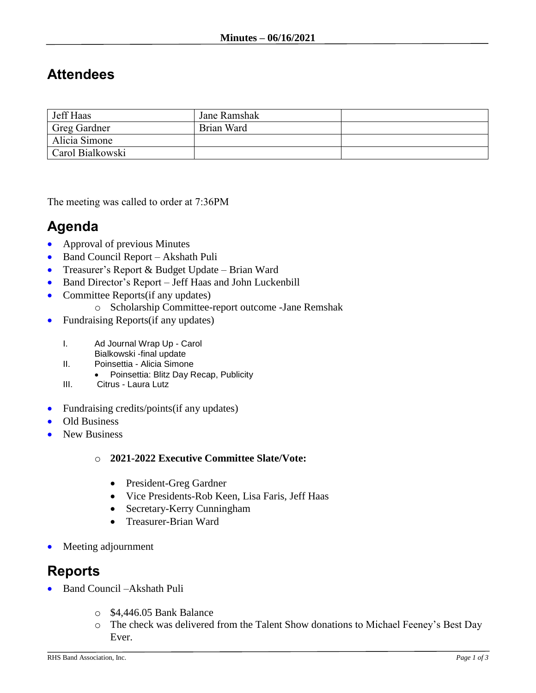# **Attendees**

| Jeff Haas        | Jane Ramshak |  |
|------------------|--------------|--|
| Greg Gardner     | Brian Ward   |  |
| Alicia Simone    |              |  |
| Carol Bialkowski |              |  |

The meeting was called to order at 7:36PM

# **Agenda**

- Approval of previous Minutes
- Band Council Report Akshath Puli
- Treasurer's Report & Budget Update Brian Ward
- Band Director's Report Jeff Haas and John Luckenbill
- Committee Reports(if any updates)
	- o Scholarship Committee-report outcome -Jane Remshak
- Fundraising Reports(if any updates)
	- I. Ad Journal Wrap Up Carol
	- Bialkowski -final update
	- II. Poinsettia Alicia Simone
		- Poinsettia: Blitz Day Recap, Publicity
	- III. Citrus Laura Lutz
- Fundraising credits/points(if any updates)
- Old Business
- New Business

#### o **2021-2022 Executive Committee Slate/Vote:**

- President-Greg Gardner
- Vice Presidents-Rob Keen, Lisa Faris, Jeff Haas
- Secretary-Kerry Cunningham
- Treasurer-Brian Ward
- Meeting adjournment

## **Reports**

- Band Council –Akshath Puli
	- o \$4,446.05 Bank Balance
	- o The check was delivered from the Talent Show donations to Michael Feeney's Best Day Ever.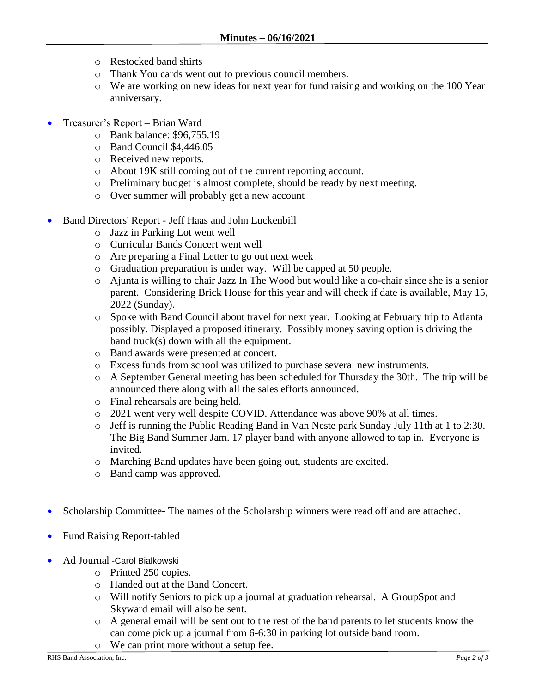- o Restocked band shirts
- o Thank You cards went out to previous council members.
- o We are working on new ideas for next year for fund raising and working on the 100 Year anniversary.
- Treasurer's Report Brian Ward
	- o Bank balance: \$96,755.19
	- o Band Council \$4,446.05
	- o Received new reports.
	- o About 19K still coming out of the current reporting account.
	- o Preliminary budget is almost complete, should be ready by next meeting.
	- o Over summer will probably get a new account
- Band Directors' Report Jeff Haas and John Luckenbill
	- o Jazz in Parking Lot went well
	- o Curricular Bands Concert went well
	- o Are preparing a Final Letter to go out next week
	- o Graduation preparation is under way. Will be capped at 50 people.
	- o Ajunta is willing to chair Jazz In The Wood but would like a co-chair since she is a senior parent. Considering Brick House for this year and will check if date is available, May 15, 2022 (Sunday).
	- o Spoke with Band Council about travel for next year. Looking at February trip to Atlanta possibly. Displayed a proposed itinerary. Possibly money saving option is driving the band truck(s) down with all the equipment.
	- o Band awards were presented at concert.
	- o Excess funds from school was utilized to purchase several new instruments.
	- o A September General meeting has been scheduled for Thursday the 30th. The trip will be announced there along with all the sales efforts announced.
	- o Final rehearsals are being held.
	- o 2021 went very well despite COVID. Attendance was above 90% at all times.
	- o Jeff is running the Public Reading Band in Van Neste park Sunday July 11th at 1 to 2:30. The Big Band Summer Jam. 17 player band with anyone allowed to tap in. Everyone is invited.
	- o Marching Band updates have been going out, students are excited.
	- o Band camp was approved.
- Scholarship Committee- The names of the Scholarship winners were read off and are attached.
- Fund Raising Report-tabled
- Ad Journal -Carol Bialkowski
	- o Printed 250 copies.
	- o Handed out at the Band Concert.
	- o Will notify Seniors to pick up a journal at graduation rehearsal. A GroupSpot and Skyward email will also be sent.
	- o A general email will be sent out to the rest of the band parents to let students know the can come pick up a journal from 6-6:30 in parking lot outside band room.
	- o We can print more without a setup fee.